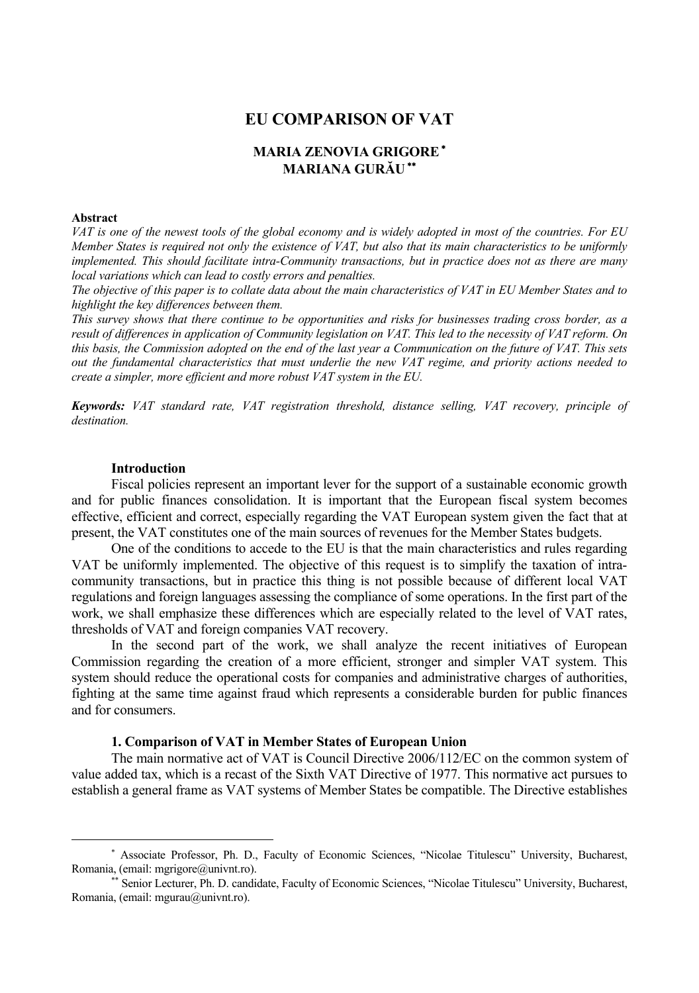# **EU COMPARISON OF VAT**

# **MARIA ZENOVIA GRIGORE**<sup>∗</sup> **MARIANA GURĂU**∗∗

#### **Abstract**

 $\overline{a}$ 

*VAT is one of the newest tools of the global economy and is widely adopted in most of the countries. For EU Member States is required not only the existence of VAT, but also that its main characteristics to be uniformly implemented. This should facilitate intra-Community transactions, but in practice does not as there are many local variations which can lead to costly errors and penalties.* 

*The objective of this paper is to collate data about the main characteristics of VAT in EU Member States and to highlight the key differences between them.* 

*This survey shows that there continue to be opportunities and risks for businesses trading cross border, as a result of differences in application of Community legislation on VAT. This led to the necessity of VAT reform. On this basis, the Commission adopted on the end of the last year a Communication on the future of VAT. This sets out the fundamental characteristics that must underlie the new VAT regime, and priority actions needed to create a simpler, more efficient and more robust VAT system in the EU.* 

*Keywords: VAT standard rate, VAT registration threshold, distance selling, VAT recovery, principle of destination.* 

#### **Introduction**

Fiscal policies represent an important lever for the support of a sustainable economic growth and for public finances consolidation. It is important that the European fiscal system becomes effective, efficient and correct, especially regarding the VAT European system given the fact that at present, the VAT constitutes one of the main sources of revenues for the Member States budgets.

One of the conditions to accede to the EU is that the main characteristics and rules regarding VAT be uniformly implemented. The objective of this request is to simplify the taxation of intracommunity transactions, but in practice this thing is not possible because of different local VAT regulations and foreign languages assessing the compliance of some operations. In the first part of the work, we shall emphasize these differences which are especially related to the level of VAT rates, thresholds of VAT and foreign companies VAT recovery.

In the second part of the work, we shall analyze the recent initiatives of European Commission regarding the creation of a more efficient, stronger and simpler VAT system. This system should reduce the operational costs for companies and administrative charges of authorities, fighting at the same time against fraud which represents a considerable burden for public finances and for consumers.

#### **1. Comparison of VAT in Member States of European Union**

The main normative act of VAT is Council Directive 2006/112/EC on the common system of value added tax, which is a recast of the Sixth VAT Directive of 1977. This normative act pursues to establish a general frame as VAT systems of Member States be compatible. The Directive establishes

<sup>∗</sup> Associate Professor, Ph. D., Faculty of Economic Sciences, "Nicolae Titulescu" University, Bucharest, Romania, (email: mgrigore@univnt.ro).

<sup>∗∗</sup> Senior Lecturer, Ph. D. candidate, Faculty of Economic Sciences, "Nicolae Titulescu" University, Bucharest, Romania, (email: mgurau@univnt.ro).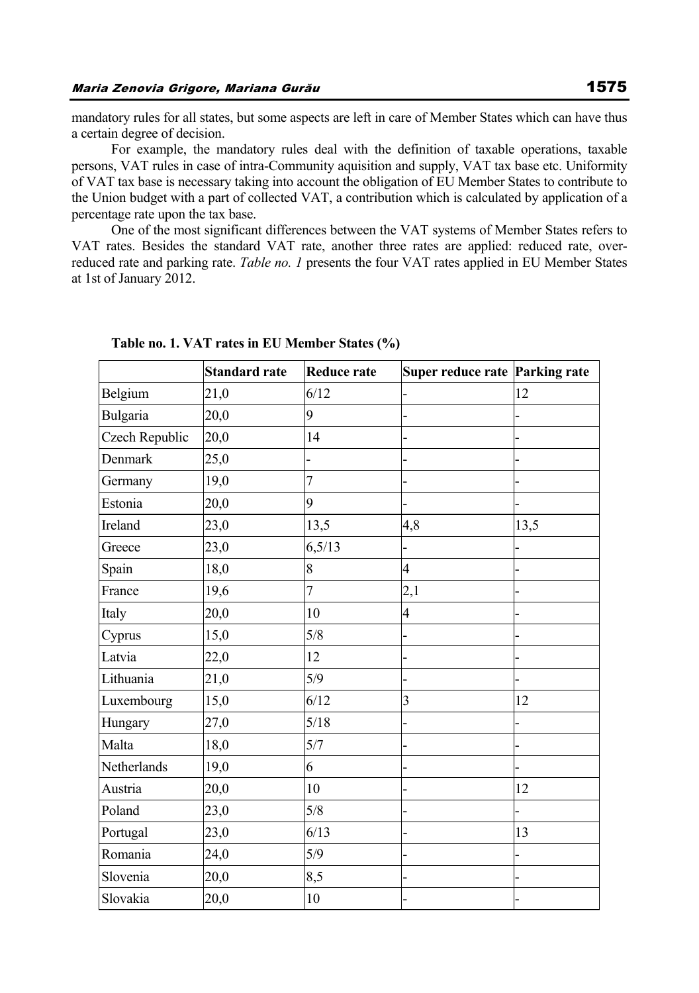mandatory rules for all states, but some aspects are left in care of Member States which can have thus a certain degree of decision.

For example, the mandatory rules deal with the definition of taxable operations, taxable persons, VAT rules in case of intra-Community aquisition and supply, VAT tax base etc. Uniformity of VAT tax base is necessary taking into account the obligation of EU Member States to contribute to the Union budget with a part of collected VAT, a contribution which is calculated by application of a percentage rate upon the tax base.

One of the most significant differences between the VAT systems of Member States refers to VAT rates. Besides the standard VAT rate, another three rates are applied: reduced rate, overreduced rate and parking rate. *Table no. 1* presents the four VAT rates applied in EU Member States at 1st of January 2012.

|                | <b>Standard rate</b> | <b>Reduce rate</b> | Super reduce rate Parking rate |      |
|----------------|----------------------|--------------------|--------------------------------|------|
| Belgium        | 21,0                 | 6/12               |                                | 12   |
| Bulgaria       | 20,0                 | 9                  |                                |      |
| Czech Republic | 20,0                 | 14                 |                                |      |
| Denmark        | 25,0                 |                    |                                |      |
| Germany        | 19,0                 | $\overline{7}$     |                                |      |
| Estonia        | 20,0                 | 9                  |                                |      |
| Ireland        | 23,0                 | 13,5               | 4,8                            | 13,5 |
| Greece         | 23,0                 | 6,5/13             |                                |      |
| Spain          | 18,0                 | 8                  | $\overline{4}$                 |      |
| France         | 19,6                 | 7                  | 2,1                            |      |
| Italy          | 20,0                 | 10                 | $\overline{\mathcal{A}}$       |      |
| Cyprus         | 15,0                 | 5/8                |                                |      |
| Latvia         | 22,0                 | 12                 |                                |      |
| Lithuania      | 21,0                 | 5/9                |                                |      |
| Luxembourg     | 15,0                 | 6/12               | $\overline{3}$                 | 12   |
| Hungary        | 27,0                 | 5/18               |                                |      |
| Malta          | 18,0                 | 5/7                |                                |      |
| Netherlands    | 19,0                 | 6                  |                                |      |
| Austria        | 20,0                 | 10                 |                                | 12   |
| Poland         | 23,0                 | 5/8                |                                |      |
| Portugal       | 23,0                 | 6/13               |                                | 13   |
| Romania        | 24,0                 | 5/9                |                                |      |
| Slovenia       | 20,0                 | 8,5                |                                |      |
| Slovakia       | 20,0                 | $10\,$             |                                |      |

**Table no. 1. VAT rates in EU Member States (%)**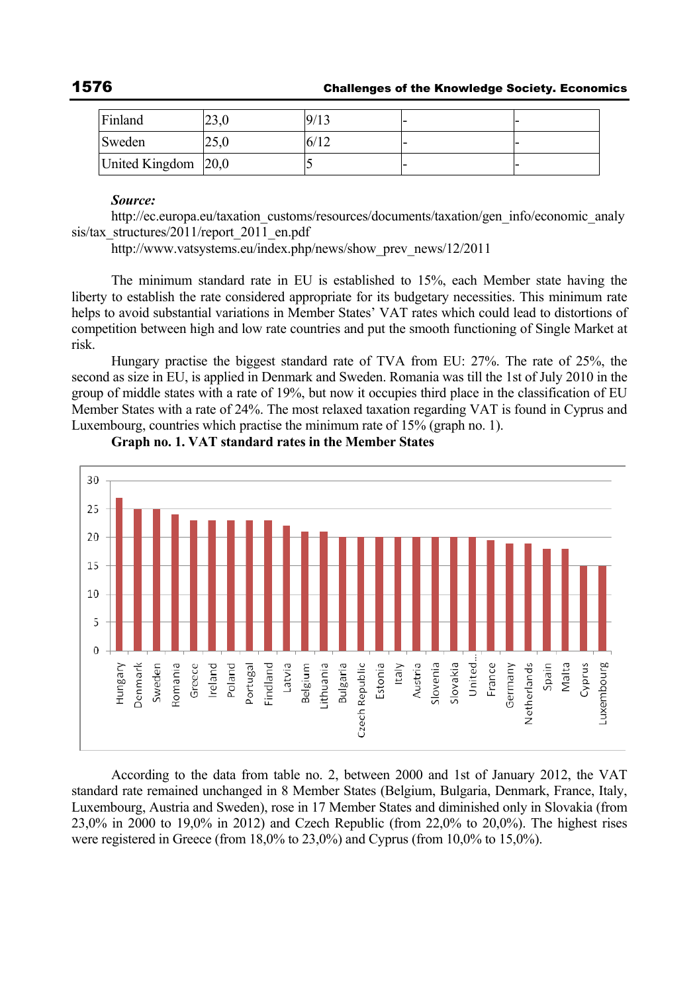| Finland             | າາເ<br>ZJ.U | 9/13 |  |
|---------------------|-------------|------|--|
| Sweden              | 25.0        | 6/12 |  |
| United Kingdom 20,0 |             |      |  |

#### *Source:*

http://ec.europa.eu/taxation\_customs/resources/documents/taxation/gen\_info/economic\_analy sis/tax\_structures/2011/report\_2011\_en.pdf

http://www.vatsystems.eu/index.php/news/show\_prev\_news/12/2011

The minimum standard rate in EU is established to 15%, each Member state having the liberty to establish the rate considered appropriate for its budgetary necessities. This minimum rate helps to avoid substantial variations in Member States' VAT rates which could lead to distortions of competition between high and low rate countries and put the smooth functioning of Single Market at risk.

Hungary practise the biggest standard rate of TVA from EU: 27%. The rate of 25%, the second as size in EU, is applied in Denmark and Sweden. Romania was till the 1st of July 2010 in the group of middle states with a rate of 19%, but now it occupies third place in the classification of EU Member States with a rate of 24%. The most relaxed taxation regarding VAT is found in Cyprus and Luxembourg, countries which practise the minimum rate of 15% (graph no. 1).



**Graph no. 1. VAT standard rates in the Member States** 

According to the data from table no. 2, between 2000 and 1st of January 2012, the VAT standard rate remained unchanged in 8 Member States (Belgium, Bulgaria, Denmark, France, Italy, Luxembourg, Austria and Sweden), rose in 17 Member States and diminished only in Slovakia (from 23,0% in 2000 to 19,0% in 2012) and Czech Republic (from 22,0% to 20,0%). The highest rises were registered in Greece (from 18,0% to 23,0%) and Cyprus (from 10,0% to 15,0%).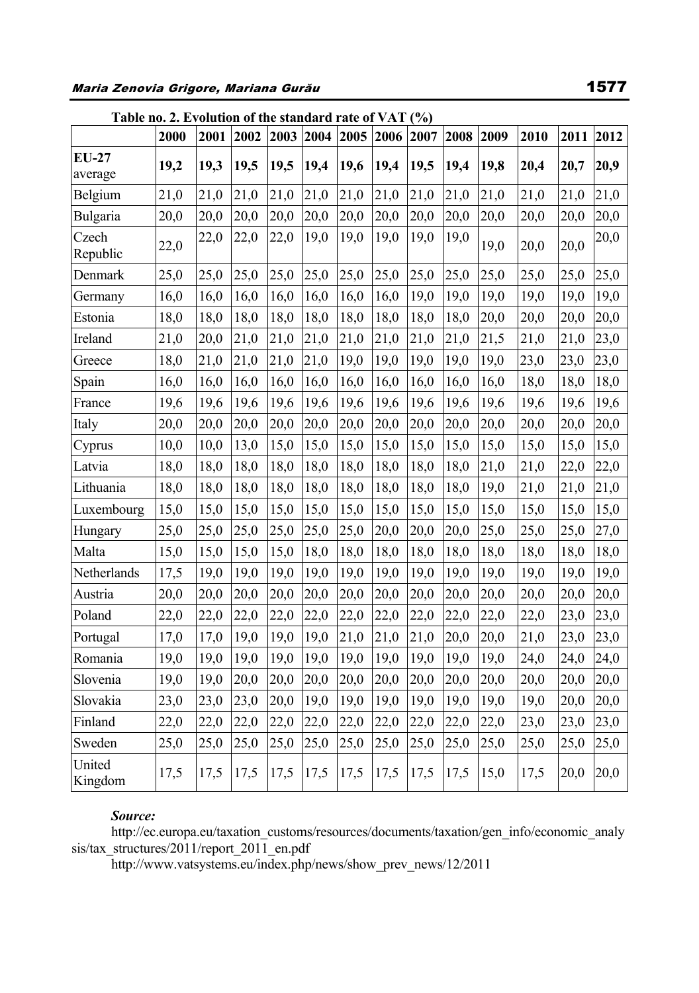| Maria Zenovia Grigore, Mariana Gurău |  |  |  |
|--------------------------------------|--|--|--|
|--------------------------------------|--|--|--|

|                    | Table no. 2. Evolution of the standard rate of $VAT$ (%) |      |      |      |           |      |           |      |      |      |      |      |      |
|--------------------|----------------------------------------------------------|------|------|------|-----------|------|-----------|------|------|------|------|------|------|
|                    | 2000                                                     | 2001 | 2002 |      | 2003 2004 | 2005 | 2006 2007 |      | 2008 | 2009 | 2010 | 2011 | 2012 |
| $EU-27$<br>average | 19,2                                                     | 19,3 | 19,5 | 19,5 | 19,4      | 19,6 | 19,4      | 19,5 | 19,4 | 19,8 | 20,4 | 20,7 | 20,9 |
| Belgium            | 21,0                                                     | 21,0 | 21,0 | 21,0 | 21,0      | 21,0 | 21,0      | 21,0 | 21,0 | 21,0 | 21,0 | 21,0 | 21,0 |
| Bulgaria           | 20,0                                                     | 20,0 | 20,0 | 20,0 | 20,0      | 20,0 | 20,0      | 20,0 | 20,0 | 20,0 | 20,0 | 20,0 | 20,0 |
| Czech<br>Republic  | 22,0                                                     | 22,0 | 22,0 | 22,0 | 19,0      | 19,0 | 19,0      | 19,0 | 19,0 | 19,0 | 20,0 | 20,0 | 20,0 |
| Denmark            | 25,0                                                     | 25,0 | 25,0 | 25,0 | 25,0      | 25,0 | 25,0      | 25,0 | 25,0 | 25,0 | 25,0 | 25,0 | 25,0 |
| Germany            | 16,0                                                     | 16,0 | 16,0 | 16,0 | 16,0      | 16,0 | 16,0      | 19,0 | 19,0 | 19,0 | 19,0 | 19,0 | 19,0 |
| Estonia            | 18,0                                                     | 18,0 | 18,0 | 18,0 | 18,0      | 18,0 | 18,0      | 18,0 | 18,0 | 20,0 | 20,0 | 20,0 | 20,0 |
| Ireland            | 21,0                                                     | 20,0 | 21,0 | 21,0 | 21,0      | 21,0 | 21,0      | 21,0 | 21,0 | 21,5 | 21,0 | 21,0 | 23,0 |
| Greece             | 18,0                                                     | 21,0 | 21,0 | 21,0 | 21,0      | 19,0 | 19,0      | 19,0 | 19,0 | 19,0 | 23,0 | 23,0 | 23,0 |
| Spain              | 16,0                                                     | 16,0 | 16,0 | 16,0 | 16,0      | 16,0 | 16,0      | 16,0 | 16,0 | 16,0 | 18,0 | 18,0 | 18,0 |
| France             | 19,6                                                     | 19,6 | 19,6 | 19,6 | 19,6      | 19,6 | 19,6      | 19,6 | 19,6 | 19,6 | 19,6 | 19,6 | 19,6 |
| Italy              | 20,0                                                     | 20,0 | 20,0 | 20,0 | 20,0      | 20,0 | 20,0      | 20,0 | 20,0 | 20,0 | 20,0 | 20,0 | 20,0 |
| Cyprus             | 10,0                                                     | 10,0 | 13,0 | 15,0 | 15,0      | 15,0 | 15,0      | 15,0 | 15,0 | 15,0 | 15,0 | 15,0 | 15,0 |
| Latvia             | 18,0                                                     | 18,0 | 18,0 | 18,0 | 18,0      | 18,0 | 18,0      | 18,0 | 18,0 | 21,0 | 21,0 | 22,0 | 22,0 |
| Lithuania          | 18,0                                                     | 18,0 | 18,0 | 18,0 | 18,0      | 18,0 | 18,0      | 18,0 | 18,0 | 19,0 | 21,0 | 21,0 | 21,0 |
| Luxembourg         | 15,0                                                     | 15,0 | 15,0 | 15,0 | 15,0      | 15,0 | 15,0      | 15,0 | 15,0 | 15,0 | 15,0 | 15,0 | 15,0 |
| Hungary            | 25,0                                                     | 25,0 | 25,0 | 25,0 | 25,0      | 25,0 | 20,0      | 20,0 | 20,0 | 25,0 | 25,0 | 25,0 | 27,0 |
| Malta              | 15,0                                                     | 15,0 | 15,0 | 15,0 | 18,0      | 18,0 | 18,0      | 18,0 | 18,0 | 18,0 | 18,0 | 18,0 | 18,0 |
| Netherlands        | 17,5                                                     | 19,0 | 19,0 | 19,0 | 19,0      | 19,0 | 19,0      | 19,0 | 19,0 | 19,0 | 19,0 | 19,0 | 19,0 |
| Austria            | 20,0                                                     | 20,0 | 20,0 | 20,0 | 20,0      | 20,0 | 20,0      | 20,0 | 20,0 | 20,0 | 20,0 | 20,0 | 20,0 |
| Poland             | 22,0                                                     | 22,0 | 22,0 | 22,0 | 22,0      | 22,0 | 22,0      | 22,0 | 22,0 | 22,0 | 22,0 | 23,0 | 23,0 |
| Portugal           | 17,0                                                     | 17,0 | 19,0 | 19,0 | 19,0      | 21,0 | 21,0      | 21,0 | 20,0 | 20,0 | 21,0 | 23,0 | 23,0 |
| Romania            | 19,0                                                     | 19,0 | 19,0 | 19,0 | 19,0      | 19,0 | 19,0      | 19,0 | 19,0 | 19,0 | 24,0 | 24,0 | 24,0 |
| Slovenia           | 19,0                                                     | 19,0 | 20,0 | 20,0 | 20,0      | 20,0 | 20,0      | 20,0 | 20,0 | 20,0 | 20,0 | 20,0 | 20,0 |
| Slovakia           | 23,0                                                     | 23,0 | 23,0 | 20,0 | 19,0      | 19,0 | 19,0      | 19,0 | 19,0 | 19,0 | 19,0 | 20,0 | 20,0 |
| Finland            | 22,0                                                     | 22,0 | 22,0 | 22,0 | 22,0      | 22,0 | 22,0      | 22,0 | 22,0 | 22,0 | 23,0 | 23,0 | 23,0 |
| Sweden             | 25,0                                                     | 25,0 | 25,0 | 25,0 | 25,0      | 25,0 | 25,0      | 25,0 | 25,0 | 25,0 | 25,0 | 25,0 | 25,0 |
| United<br>Kingdom  | 17,5                                                     | 17,5 | 17,5 | 17,5 | 17,5      | 17,5 | 17,5      | 17,5 | 17,5 | 15,0 | 17,5 | 20,0 | 20,0 |

## Source:

http://ec.europa.eu/taxation\_customs/resources/documents/taxation/gen\_info/economic\_analy sis/tax\_structures/2011/report\_2011\_en.pdf

http://www.vatsystems.eu/index.php/news/show prev news/12/2011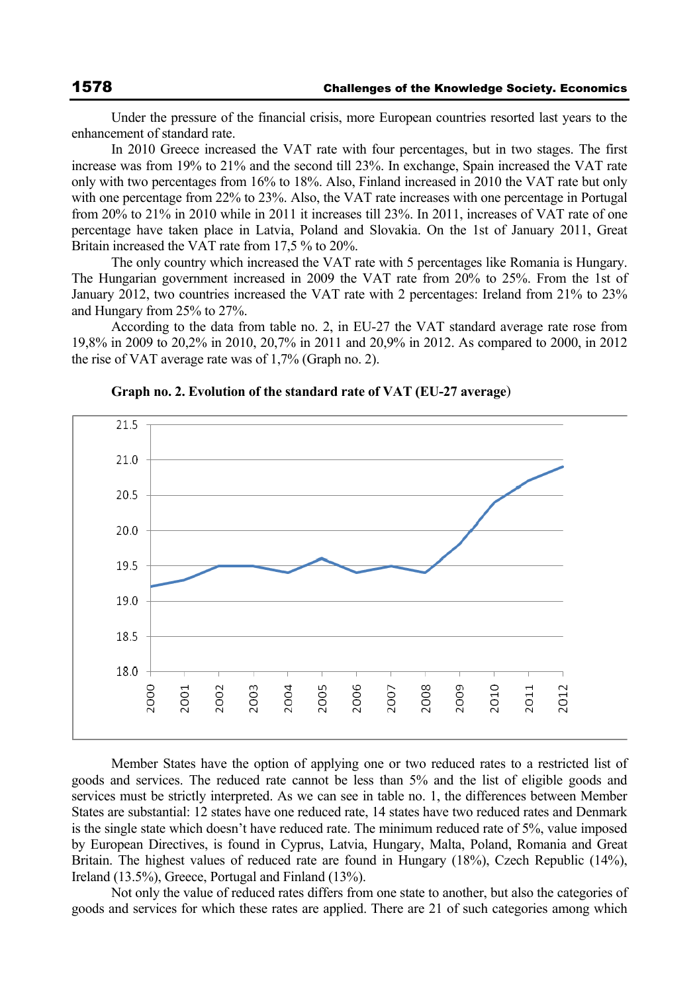Under the pressure of the financial crisis, more European countries resorted last years to the enhancement of standard rate.

In 2010 Greece increased the VAT rate with four percentages, but in two stages. The first increase was from 19% to 21% and the second till 23%. In exchange, Spain increased the VAT rate only with two percentages from 16% to 18%. Also, Finland increased in 2010 the VAT rate but only with one percentage from 22% to 23%. Also, the VAT rate increases with one percentage in Portugal from 20% to 21% in 2010 while in 2011 it increases till 23%. In 2011, increases of VAT rate of one percentage have taken place in Latvia, Poland and Slovakia. On the 1st of January 2011, Great Britain increased the VAT rate from 17,5 % to 20%.

The only country which increased the VAT rate with 5 percentages like Romania is Hungary. The Hungarian government increased in 2009 the VAT rate from 20% to 25%. From the 1st of January 2012, two countries increased the VAT rate with 2 percentages: Ireland from 21% to 23% and Hungary from 25% to 27%.

According to the data from table no. 2, in EU-27 the VAT standard average rate rose from 19,8% in 2009 to 20,2% in 2010, 20,7% in 2011 and 20,9% in 2012. As compared to 2000, in 2012 the rise of VAT average rate was of 1,7% (Graph no. 2).



**Graph no. 2. Evolution of the standard rate of VAT (EU-27 average**)

Member States have the option of applying one or two reduced rates to a restricted list of goods and services. The reduced rate cannot be less than 5% and the list of eligible goods and services must be strictly interpreted. As we can see in table no. 1, the differences between Member States are substantial: 12 states have one reduced rate, 14 states have two reduced rates and Denmark is the single state which doesn't have reduced rate. The minimum reduced rate of 5%, value imposed by European Directives, is found in Cyprus, Latvia, Hungary, Malta, Poland, Romania and Great Britain. The highest values of reduced rate are found in Hungary (18%), Czech Republic (14%), Ireland (13.5%), Greece, Portugal and Finland (13%).

Not only the value of reduced rates differs from one state to another, but also the categories of goods and services for which these rates are applied. There are 21 of such categories among which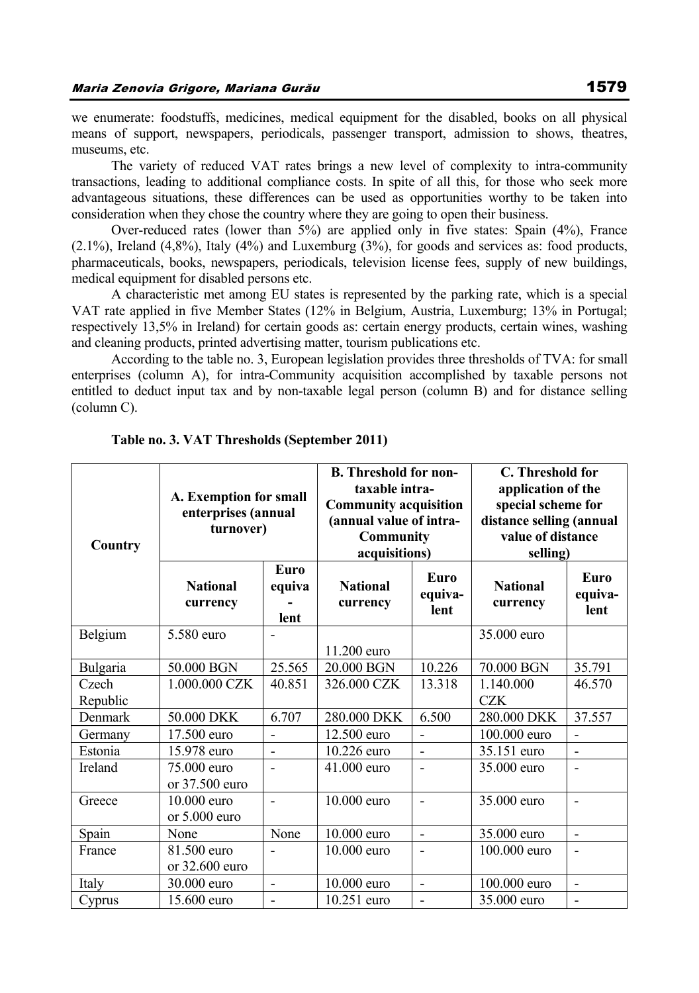we enumerate: foodstuffs, medicines, medical equipment for the disabled, books on all physical means of support, newspapers, periodicals, passenger transport, admission to shows, theatres, museums, etc.

The variety of reduced VAT rates brings a new level of complexity to intra-community transactions, leading to additional compliance costs. In spite of all this, for those who seek more advantageous situations, these differences can be used as opportunities worthy to be taken into consideration when they chose the country where they are going to open their business.

Over-reduced rates (lower than 5%) are applied only in five states: Spain (4%), France  $(2.1\%)$ , Ireland  $(4,8\%)$ , Italy  $(4\%)$  and Luxemburg  $(3\%)$ , for goods and services as: food products, pharmaceuticals, books, newspapers, periodicals, television license fees, supply of new buildings, medical equipment for disabled persons etc.

A characteristic met among EU states is represented by the parking rate, which is a special VAT rate applied in five Member States (12% in Belgium, Austria, Luxemburg; 13% in Portugal; respectively 13,5% in Ireland) for certain goods as: certain energy products, certain wines, washing and cleaning products, printed advertising matter, tourism publications etc.

According to the table no. 3, European legislation provides three thresholds of TVA: for small enterprises (column A), for intra-Community acquisition accomplished by taxable persons not entitled to deduct input tax and by non-taxable legal person (column B) and for distance selling (column C).

| Country           | A. Exemption for small<br>enterprises (annual<br>turnover) |                               | <b>B.</b> Threshold for non-<br>taxable intra-<br><b>Community acquisition</b><br>(annual value of intra-<br><b>Community</b><br>acquisitions) |                          | C. Threshold for<br>application of the<br>special scheme for<br>distance selling (annual<br>value of distance<br>selling) |                          |
|-------------------|------------------------------------------------------------|-------------------------------|------------------------------------------------------------------------------------------------------------------------------------------------|--------------------------|---------------------------------------------------------------------------------------------------------------------------|--------------------------|
|                   | <b>National</b><br>currency                                | <b>Euro</b><br>equiva<br>lent | <b>National</b><br>currency                                                                                                                    | Euro<br>equiva-<br>lent  | <b>National</b><br>currency                                                                                               | Euro<br>equiva-<br>lent  |
| Belgium           | 5.580 euro                                                 |                               | 11.200 euro                                                                                                                                    |                          | 35.000 euro                                                                                                               |                          |
| Bulgaria          | 50.000 BGN                                                 | 25.565                        | 20.000 BGN                                                                                                                                     | 10.226                   | 70.000 BGN                                                                                                                | 35.791                   |
| Czech<br>Republic | 1.000.000 CZK                                              | 40.851                        | 326,000 CZK                                                                                                                                    | 13.318                   | 1.140.000<br><b>CZK</b>                                                                                                   | 46.570                   |
| Denmark           | 50.000 DKK                                                 | 6.707                         | 280.000 DKK                                                                                                                                    | 6.500                    | 280.000 DKK                                                                                                               | 37.557                   |
| Germany           | 17.500 euro                                                | $\overline{a}$                | 12.500 euro                                                                                                                                    | $\overline{a}$           | 100.000 euro                                                                                                              | $\overline{a}$           |
| Estonia           | 15.978 euro                                                | $\overline{a}$                | 10.226 euro                                                                                                                                    | $\overline{a}$           | 35.151 euro                                                                                                               | $\overline{a}$           |
| Ireland           | 75.000 euro<br>or 37.500 euro                              |                               | 41.000 euro                                                                                                                                    |                          | 35,000 euro                                                                                                               |                          |
| Greece            | $10.000$ euro<br>or $5.000$ euro                           | $\blacksquare$                | $10.000$ euro                                                                                                                                  | $\overline{\phantom{a}}$ | 35.000 euro                                                                                                               | $\blacksquare$           |
| Spain             | None                                                       | None                          | 10.000 euro                                                                                                                                    | $\overline{a}$           | 35.000 euro                                                                                                               | $\overline{a}$           |
| France            | 81.500 euro<br>or $32.600$ euro                            |                               | 10.000 euro                                                                                                                                    |                          | 100.000 euro                                                                                                              |                          |
| Italy             | 30.000 euro                                                | $\blacksquare$                | 10.000 euro                                                                                                                                    | $\blacksquare$           | 100.000 euro                                                                                                              | $\overline{a}$           |
| Cyprus            | 15.600 euro                                                | $\blacksquare$                | $10.251$ euro                                                                                                                                  | $\overline{a}$           | 35,000 euro                                                                                                               | $\overline{\phantom{a}}$ |

**Table no. 3. VAT Thresholds (September 2011)**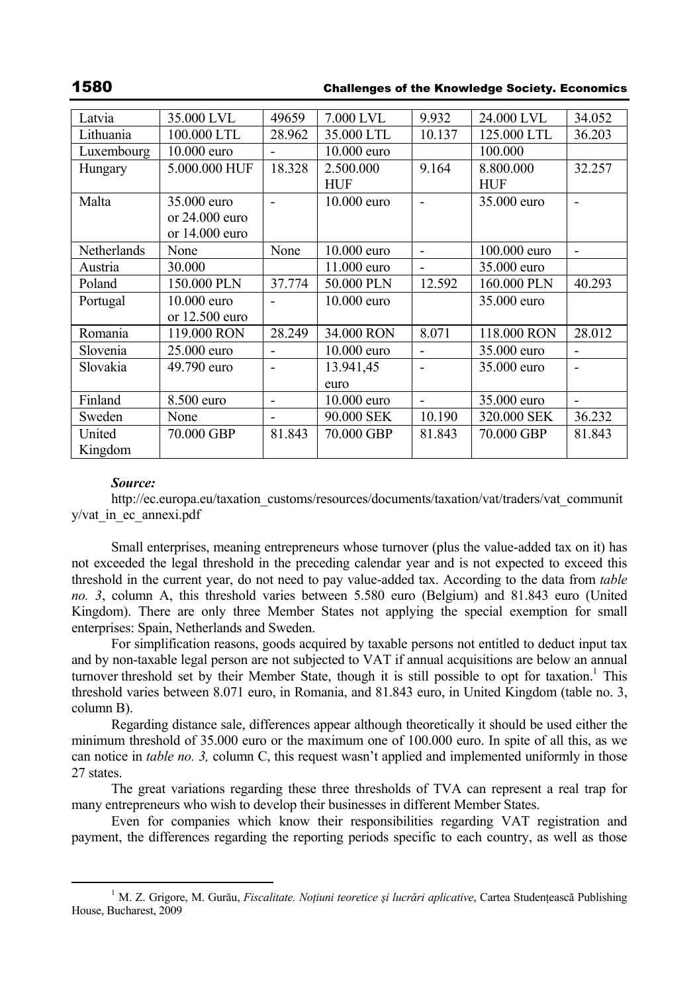# 1580 Challenges of the Knowledge Society. Economics

| Latvia      | 35.000 LVL       | 49659                    | 7.000 LVL     | 9.932          | 24.000 LVL   | 34.052                   |
|-------------|------------------|--------------------------|---------------|----------------|--------------|--------------------------|
| Lithuania   | 100.000 LTL      | 28.962                   | 35.000 LTL    | 10.137         | 125,000 LTL  | 36.203                   |
| Luxembourg  | $10.000$ euro    |                          | $10.000$ euro |                | 100.000      |                          |
| Hungary     | 5.000.000 HUF    | 18.328                   | 2.500.000     | 9.164          | 8.800.000    | 32.257                   |
|             |                  |                          | <b>HUF</b>    |                | <b>HUF</b>   |                          |
| Malta       | 35,000 euro      | $\overline{\phantom{0}}$ | $10.000$ euro | $\blacksquare$ | 35,000 euro  | $\overline{\phantom{0}}$ |
|             | or $24.000$ euro |                          |               |                |              |                          |
|             | or $14.000$ euro |                          |               |                |              |                          |
| Netherlands | None             | None                     | 10.000 euro   |                | 100,000 euro |                          |
| Austria     | 30.000           |                          | 11.000 euro   | $\blacksquare$ | 35,000 euro  |                          |
| Poland      | 150.000 PLN      | 37.774                   | 50.000 PLN    | 12.592         | 160.000 PLN  | 40.293                   |
| Portugal    | $10.000$ euro    | $\blacksquare$           | $10.000$ euro |                | 35,000 euro  |                          |
|             | or $12.500$ euro |                          |               |                |              |                          |
| Romania     | 119,000 RON      | 28.249                   | 34.000 RON    | 8.071          | 118,000 RON  | 28.012                   |
| Slovenia    | 25,000 euro      |                          | $10.000$ euro |                | 35.000 euro  |                          |
| Slovakia    | 49.790 euro      |                          | 13.941,45     |                | 35,000 euro  | $\blacksquare$           |
|             |                  |                          | euro          |                |              |                          |
| Finland     | 8.500 euro       | $\overline{\phantom{a}}$ | $10.000$ euro | $\blacksquare$ | 35.000 euro  | $\overline{\phantom{0}}$ |
| Sweden      | None             |                          | 90.000 SEK    | 10.190         | 320,000 SEK  | 36.232                   |
| United      | 70.000 GBP       | 81.843                   | 70.000 GBP    | 81.843         | 70.000 GBP   | 81.843                   |
| Kingdom     |                  |                          |               |                |              |                          |

### *Source:*

http://ec.europa.eu/taxation\_customs/resources/documents/taxation/vat/traders/vat\_communit y/vat\_in\_ec\_annexi.pdf

Small enterprises, meaning entrepreneurs whose turnover (plus the value-added tax on it) has not exceeded the legal threshold in the preceding calendar year and is not expected to exceed this threshold in the current year, do not need to pay value-added tax. According to the data from *table no. 3*, column A, this threshold varies between 5.580 euro (Belgium) and 81.843 euro (United Kingdom). There are only three Member States not applying the special exemption for small enterprises: Spain, Netherlands and Sweden.

For simplification reasons, goods acquired by taxable persons not entitled to deduct input tax and by non-taxable legal person are not subjected to VAT if annual acquisitions are below an annual turnover threshold set by their Member State, though it is still possible to opt for taxation.<sup>1</sup> This threshold varies between 8.071 euro, in Romania, and 81.843 euro, in United Kingdom (table no. 3, column B).

Regarding distance sale, differences appear although theoretically it should be used either the minimum threshold of 35.000 euro or the maximum one of 100.000 euro. In spite of all this, as we can notice in *table no. 3,* column C, this request wasn't applied and implemented uniformly in those 27 states.

The great variations regarding these three thresholds of TVA can represent a real trap for many entrepreneurs who wish to develop their businesses in different Member States.

Even for companies which know their responsibilities regarding VAT registration and payment, the differences regarding the reporting periods specific to each country, as well as those

 $\frac{1}{1}$  M. Z. Grigore, M. Gurău, *Fiscalitate. Noţiuni teoretice şi lucrări aplicative*, Cartea Studenţească Publishing House, Bucharest, 2009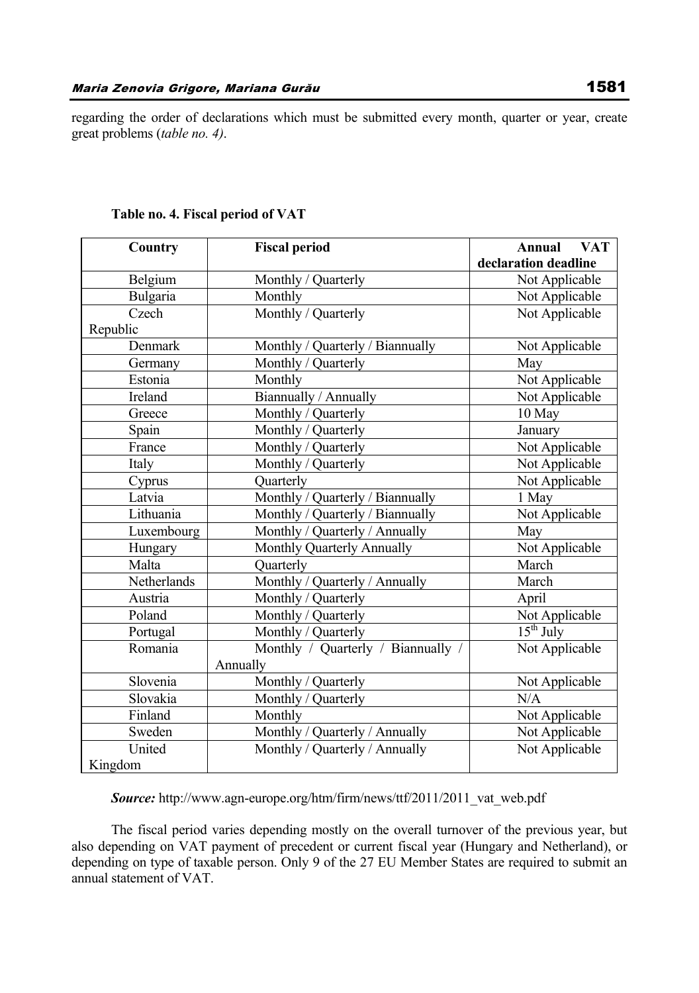regarding the order of declarations which must be submitted every month, quarter or year, create great problems (*table no. 4)*.

| Country     | <b>Fiscal period</b>               | <b>VAT</b><br>Annual |
|-------------|------------------------------------|----------------------|
|             |                                    | declaration deadline |
| Belgium     | Monthly / Quarterly                | Not Applicable       |
| Bulgaria    | Monthly                            | Not Applicable       |
| Czech       | Monthly / Quarterly                | Not Applicable       |
| Republic    |                                    |                      |
| Denmark     | Monthly / Quarterly / Biannually   | Not Applicable       |
| Germany     | Monthly / Quarterly                | May                  |
| Estonia     | Monthly                            | Not Applicable       |
| Ireland     | Biannually / Annually              | Not Applicable       |
| Greece      | Monthly / Quarterly                | 10 May               |
| Spain       | Monthly / Quarterly                | January              |
| France      | Monthly / Quarterly                | Not Applicable       |
| Italy       | Monthly / Quarterly                | Not Applicable       |
| Cyprus      | Quarterly                          | Not Applicable       |
| Latvia      | Monthly / Quarterly / Biannually   | 1 May                |
| Lithuania   | Monthly / Quarterly / Biannually   | Not Applicable       |
| Luxembourg  | Monthly / Quarterly / Annually     | May                  |
| Hungary     | Monthly Quarterly Annually         | Not Applicable       |
| Malta       | Quarterly                          | March                |
| Netherlands | Monthly / Quarterly / Annually     | March                |
| Austria     | Monthly / Quarterly                | April                |
| Poland      | Monthly / Quarterly                | Not Applicable       |
| Portugal    | Monthly / Quarterly                | $15th$ July          |
| Romania     | Monthly / Quarterly / Biannually / | Not Applicable       |
|             | Annually                           |                      |
| Slovenia    | Monthly / Quarterly                | Not Applicable       |
| Slovakia    | Monthly / Quarterly                | N/A                  |
| Finland     | Monthly                            | Not Applicable       |
| Sweden      | Monthly / Quarterly / Annually     | Not Applicable       |
| United      | Monthly / Quarterly / Annually     | Not Applicable       |
| Kingdom     |                                    |                      |

# **Table no. 4. Fiscal period of VAT**

*Source:* http://www.agn-europe.org/htm/firm/news/ttf/2011/2011\_vat\_web.pdf

The fiscal period varies depending mostly on the overall turnover of the previous year, but also depending on VAT payment of precedent or current fiscal year (Hungary and Netherland), or depending on type of taxable person. Only 9 of the 27 EU Member States are required to submit an annual statement of VAT.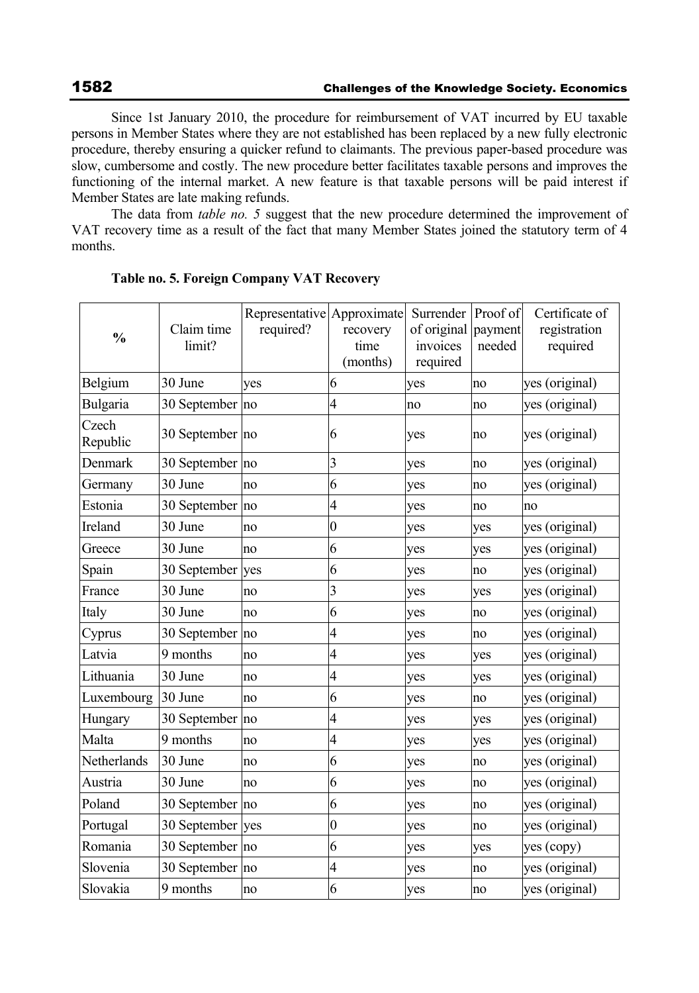Since 1st January 2010, the procedure for reimbursement of VAT incurred by EU taxable persons in Member States where they are not established has been replaced by a new fully electronic procedure, thereby ensuring a quicker refund to claimants. The previous paper-based procedure was slow, cumbersome and costly. The new procedure better facilitates taxable persons and improves the functioning of the internal market. A new feature is that taxable persons will be paid interest if Member States are late making refunds.

The data from *table no. 5* suggest that the new procedure determined the improvement of VAT recovery time as a result of the fact that many Member States joined the statutory term of 4 months.

| $\frac{0}{0}$     | Claim time<br>limit? | Representative Approximate<br>required? | recovery<br>time<br>(months) | Surrender<br>of original<br>invoices<br>required | Proof of<br>payment<br>needed | Certificate of<br>registration<br>required |
|-------------------|----------------------|-----------------------------------------|------------------------------|--------------------------------------------------|-------------------------------|--------------------------------------------|
| Belgium           | 30 June              | yes                                     | 6                            | yes                                              | no                            | yes (original)                             |
| Bulgaria          | 30 September no      |                                         | 4                            | no                                               | no                            | yes (original)                             |
| Czech<br>Republic | 30 September no      |                                         | 6                            | yes                                              | no                            | yes (original)                             |
| Denmark           | 30 September no      |                                         | 3                            | yes                                              | no                            | yes (original)                             |
| Germany           | 30 June              | no                                      | 6                            | yes                                              | no                            | yes (original)                             |
| Estonia           | 30 September         | no                                      | $\overline{4}$               | yes                                              | no                            | no                                         |
| Ireland           | 30 June              | no                                      | $\overline{0}$               | yes                                              | yes                           | yes (original)                             |
| Greece            | 30 June              | no                                      | 6                            | yes                                              | yes                           | yes (original)                             |
| Spain             | 30 September         | yes                                     | 6                            | yes                                              | no                            | yes (original)                             |
| France            | 30 June              | no                                      | 3                            | yes                                              | yes                           | yes (original)                             |
| Italy             | 30 June              | no                                      | 6                            | yes                                              | no                            | yes (original)                             |
| Cyprus            | 30 September         | no                                      | 4                            | yes                                              | no                            | yes (original)                             |
| Latvia            | 9 months             | no                                      | $\overline{4}$               | yes                                              | yes                           | yes (original)                             |
| Lithuania         | 30 June              | no                                      | 4                            | yes                                              | yes                           | yes (original)                             |
| Luxembourg        | 30 June              | no                                      | 6                            | yes                                              | no                            | yes (original)                             |
| Hungary           | 30 September         | no                                      | $\overline{\mathcal{A}}$     | yes                                              | yes                           | yes (original)                             |
| Malta             | 9 months             | no                                      | 4                            | yes                                              | yes                           | yes (original)                             |
| Netherlands       | 30 June              | no                                      | 6                            | yes                                              | no                            | yes (original)                             |
| Austria           | 30 June              | no                                      | 6                            | yes                                              | no                            | yes (original)                             |
| Poland            | 30 September         | no                                      | 6                            | yes                                              | no                            | yes (original)                             |
| Portugal          | 30 September         | yes                                     | $\boldsymbol{0}$             | yes                                              | no                            | yes (original)                             |
| Romania           | 30 September no      |                                         | 6                            | yes                                              | yes                           | yes (copy)                                 |
| Slovenia          | 30 September         | no                                      | $\overline{4}$               | yes                                              | no                            | yes (original)                             |
| Slovakia          | 9 months             | no                                      | 6                            | yes                                              | no                            | yes (original)                             |

#### **Table no. 5. Foreign Company VAT Recovery**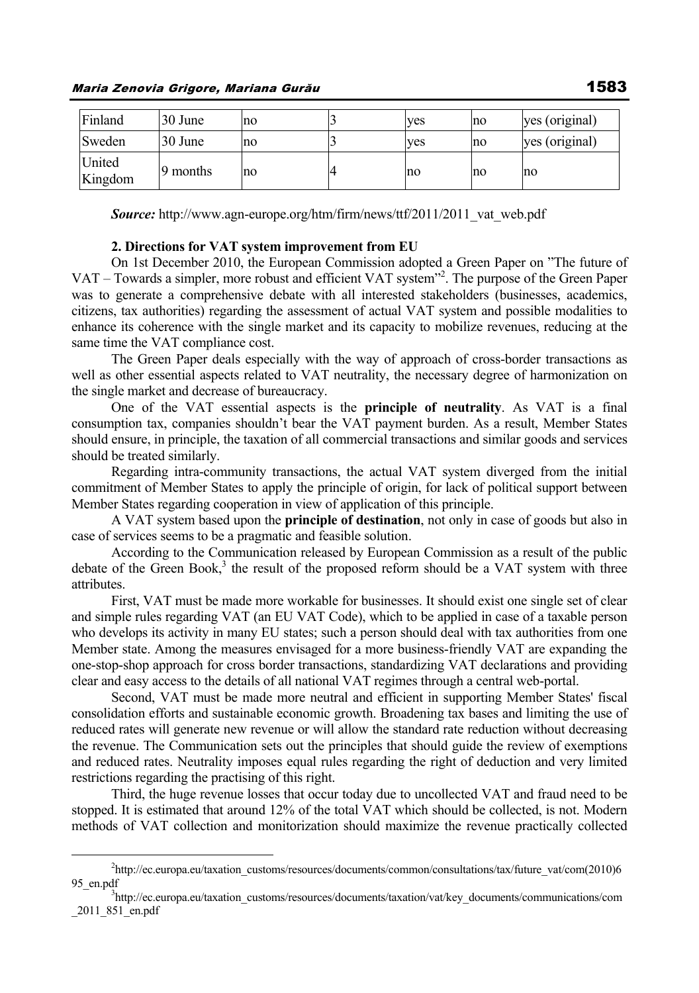| Finland           | 30 June  | no | ves | no | yes (original) |
|-------------------|----------|----|-----|----|----------------|
| Sweden            | 30 June  | no | ves | no | yes (original) |
| United<br>Kingdom | 9 months | no | no  | no | no             |

*Source:* http://www.agn-europe.org/htm/firm/news/ttf/2011/2011\_vat\_web.pdf

#### **2. Directions for VAT system improvement from EU**

On 1st December 2010, the European Commission adopted a Green Paper on "The future of VAT – Towards a simpler, more robust and efficient VAT system<sup>32</sup>. The purpose of the Green Paper was to generate a comprehensive debate with all interested stakeholders (businesses, academics, citizens, tax authorities) regarding the assessment of actual VAT system and possible modalities to enhance its coherence with the single market and its capacity to mobilize revenues, reducing at the same time the VAT compliance cost.

The Green Paper deals especially with the way of approach of cross-border transactions as well as other essential aspects related to VAT neutrality, the necessary degree of harmonization on the single market and decrease of bureaucracy.

One of the VAT essential aspects is the **principle of neutrality**. As VAT is a final consumption tax, companies shouldn't bear the VAT payment burden. As a result, Member States should ensure, in principle, the taxation of all commercial transactions and similar goods and services should be treated similarly.

Regarding intra-community transactions, the actual VAT system diverged from the initial commitment of Member States to apply the principle of origin, for lack of political support between Member States regarding cooperation in view of application of this principle.

A VAT system based upon the **principle of destination**, not only in case of goods but also in case of services seems to be a pragmatic and feasible solution.

According to the Communication released by European Commission as a result of the public debate of the Green Book,<sup>3</sup> the result of the proposed reform should be a VAT system with three attributes.

First, VAT must be made more workable for businesses. It should exist one single set of clear and simple rules regarding VAT (an EU VAT Code), which to be applied in case of a taxable person who develops its activity in many EU states; such a person should deal with tax authorities from one Member state. Among the measures envisaged for a more business-friendly VAT are expanding the one-stop-shop approach for cross border transactions, standardizing VAT declarations and providing clear and easy access to the details of all national VAT regimes through a central web-portal.

Second, VAT must be made more neutral and efficient in supporting Member States' fiscal consolidation efforts and sustainable economic growth. Broadening tax bases and limiting the use of reduced rates will generate new revenue or will allow the standard rate reduction without decreasing the revenue. The Communication sets out the principles that should guide the review of exemptions and reduced rates. Neutrality imposes equal rules regarding the right of deduction and very limited restrictions regarding the practising of this right.

Third, the huge revenue losses that occur today due to uncollected VAT and fraud need to be stopped. It is estimated that around 12% of the total VAT which should be collected, is not. Modern methods of VAT collection and monitorization should maximize the revenue practically collected

 $\overline{\phantom{a}}$ http://ec.europa.eu/taxation\_customs/resources/documents/common/consultations/tax/future\_vat/com(2010)6 95 en.pdf

<sup>&</sup>lt;sup>3</sup>http://ec.europa.eu/taxation\_customs/resources/documents/taxation/vat/key\_documents/communications/com \_2011\_851\_en.pdf